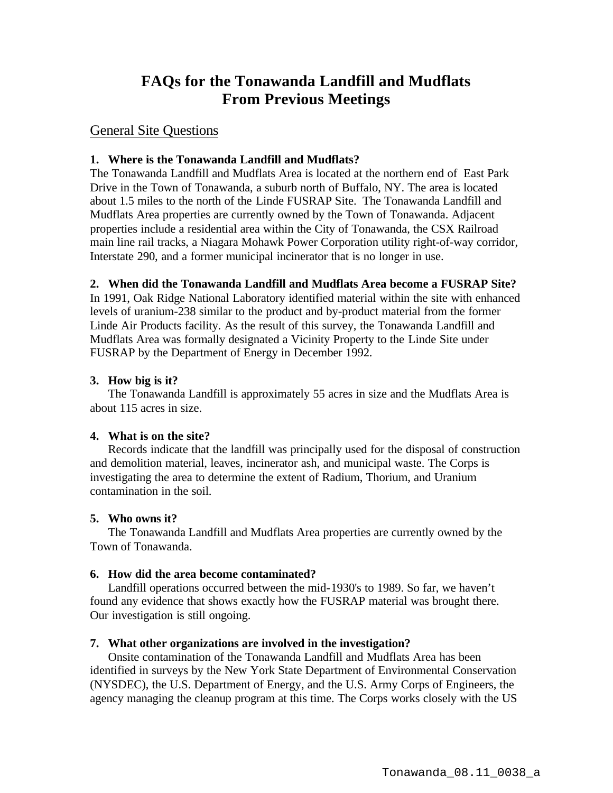# **FAQs for the Tonawanda Landfill and Mudflats From Previous Meetings**

## General Site Questions

## **1. Where is the Tonawanda Landfill and Mudflats?**

The Tonawanda Landfill and Mudflats Area is located at the northern end of East Park Drive in the Town of Tonawanda, a suburb north of Buffalo, NY. The area is located about 1.5 miles to the north of the Linde FUSRAP Site. The Tonawanda Landfill and Mudflats Area properties are currently owned by the Town of Tonawanda. Adjacent properties include a residential area within the City of Tonawanda, the CSX Railroad main line rail tracks, a Niagara Mohawk Power Corporation utility right-of-way corridor, Interstate 290, and a former municipal incinerator that is no longer in use.

## **2. When did the Tonawanda Landfill and Mudflats Area become a FUSRAP Site?**

In 1991, Oak Ridge National Laboratory identified material within the site with enhanced levels of uranium-238 similar to the product and by-product material from the former Linde Air Products facility. As the result of this survey, the Tonawanda Landfill and Mudflats Area was formally designated a Vicinity Property to the Linde Site under FUSRAP by the Department of Energy in December 1992.

### **3. How big is it?**

The Tonawanda Landfill is approximately 55 acres in size and the Mudflats Area is about 115 acres in size.

#### **4. What is on the site?**

Records indicate that the landfill was principally used for the disposal of construction and demolition material, leaves, incinerator ash, and municipal waste. The Corps is investigating the area to determine the extent of Radium, Thorium, and Uranium contamination in the soil.

#### **5. Who owns it?**

The Tonawanda Landfill and Mudflats Area properties are currently owned by the Town of Tonawanda.

#### **6. How did the area become contaminated?**

Landfill operations occurred between the mid-1930's to 1989. So far, we haven't found any evidence that shows exactly how the FUSRAP material was brought there. Our investigation is still ongoing.

#### **7. What other organizations are involved in the investigation?**

Onsite contamination of the Tonawanda Landfill and Mudflats Area has been identified in surveys by the New York State Department of Environmental Conservation (NYSDEC), the U.S. Department of Energy, and the U.S. Army Corps of Engineers, the agency managing the cleanup program at this time. The Corps works closely with the US